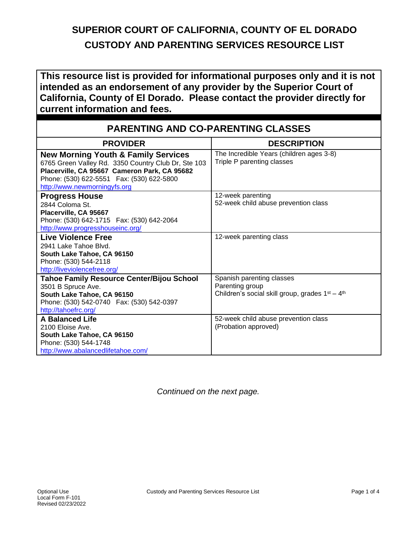## **SUPERIOR COURT OF CALIFORNIA, COUNTY OF EL DORADO CUSTODY AND PARENTING SERVICES RESOURCE LIST**

**This resource list is provided for informational purposes only and it is not intended as an endorsement of any provider by the Superior Court of California, County of El Dorado. Please contact the provider directly for current information and fees.** 

| <b>PARENTING AND CO-PARENTING CLASSES</b>                                                                                                                                                                                           |                                                                                                                         |  |
|-------------------------------------------------------------------------------------------------------------------------------------------------------------------------------------------------------------------------------------|-------------------------------------------------------------------------------------------------------------------------|--|
| <b>PROVIDER</b>                                                                                                                                                                                                                     | <b>DESCRIPTION</b>                                                                                                      |  |
| <b>New Morning Youth &amp; Family Services</b><br>6765 Green Valley Rd. 3350 Country Club Dr, Ste 103<br>Placerville, CA 95667 Cameron Park, CA 95682<br>Phone: (530) 622-5551  Fax: (530) 622-5800<br>http://www.newmorningyfs.org | The Incredible Years (children ages 3-8)<br>Triple P parenting classes                                                  |  |
| <b>Progress House</b><br>2844 Coloma St.<br>Placerville, CA 95667<br>Phone: (530) 642-1715  Fax: (530) 642-2064<br>http://www.progresshouseinc.org/                                                                                 | 12-week parenting<br>52-week child abuse prevention class                                                               |  |
| Live Violence Free<br>2941 Lake Tahoe Blvd.<br>South Lake Tahoe, CA 96150<br>Phone: (530) 544-2118<br>http://liveviolencefree.org/                                                                                                  | 12-week parenting class                                                                                                 |  |
| <b>Tahoe Family Resource Center/Bijou School</b><br>3501 B Spruce Ave.<br>South Lake Tahoe, CA 96150<br>Phone: (530) 542-0740  Fax: (530) 542-0397<br>http://tahoefrc.org/                                                          | Spanish parenting classes<br>Parenting group<br>Children's social skill group, grades 1 <sup>st</sup> - 4 <sup>th</sup> |  |
| <b>A Balanced Life</b><br>2100 Eloise Ave.<br>South Lake Tahoe, CA 96150<br>Phone: (530) 544-1748<br>http://www.abalancedlifetahoe.com/                                                                                             | 52-week child abuse prevention class<br>(Probation approved)                                                            |  |

*Continued on the next page.*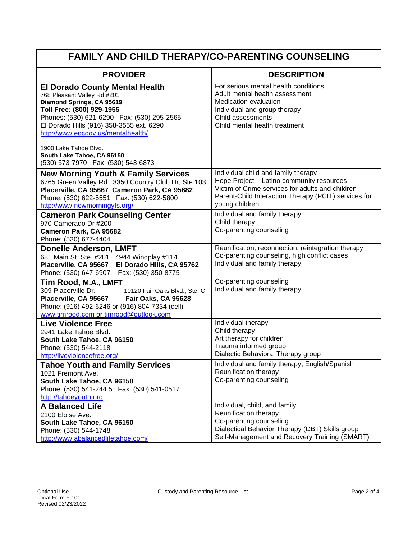| <b>FAMILY AND CHILD THERAPY/CO-PARENTING COUNSELING</b>                                                                                                                                                                                                                                                                |                                                                                                                                                                                                                |  |
|------------------------------------------------------------------------------------------------------------------------------------------------------------------------------------------------------------------------------------------------------------------------------------------------------------------------|----------------------------------------------------------------------------------------------------------------------------------------------------------------------------------------------------------------|--|
| <b>PROVIDER</b>                                                                                                                                                                                                                                                                                                        | <b>DESCRIPTION</b>                                                                                                                                                                                             |  |
| <b>El Dorado County Mental Health</b><br>768 Pleasant Valley Rd #201<br>Diamond Springs, CA 95619<br>Toll Free: (800) 929-1955<br>Phones: (530) 621-6290  Fax: (530) 295-2565<br>El Dorado Hills (916) 358-3555 ext. 6290<br>http://www.edcgov.us/mentalhealth/<br>1900 Lake Tahoe Blvd.<br>South Lake Tahoe, CA 96150 | For serious mental health conditions<br>Adult mental health assessment<br>Medication evaluation<br>Individual and group therapy<br>Child assessments<br>Child mental health treatment                          |  |
| (530) 573-7970  Fax: (530) 543-6873<br><b>New Morning Youth &amp; Family Services</b><br>6765 Green Valley Rd. 3350 Country Club Dr, Ste 103<br>Placerville, CA 95667 Cameron Park, CA 95682<br>Phone: (530) 622-5551  Fax: (530) 622-5800<br>http://www.newmorningyfs.org/                                            | Individual child and family therapy<br>Hope Project - Latino community resources<br>Victim of Crime services for adults and children<br>Parent-Child Interaction Therapy (PCIT) services for<br>young children |  |
| <b>Cameron Park Counseling Center</b><br>970 Camerado Dr #200<br>Cameron Park, CA 95682<br>Phone: (530) 677-4404                                                                                                                                                                                                       | Individual and family therapy<br>Child therapy<br>Co-parenting counseling                                                                                                                                      |  |
| <b>Donelle Anderson, LMFT</b><br>681 Main St. Ste. #201 4944 Windplay #114<br>El Dorado Hills, CA 95762<br>Placerville, CA 95667<br>Phone: (530) 647-6907  Fax: (530) 350-8775                                                                                                                                         | Reunification, reconnection, reintegration therapy<br>Co-parenting counseling, high conflict cases<br>Individual and family therapy                                                                            |  |
| Tim Rood, M.A., LMFT<br>309 Placerville Dr.<br>10120 Fair Oaks Blvd., Ste. C<br>Placerville, CA 95667<br>Fair Oaks, CA 95628<br>Phone: (916) 492-6246 or (916) 804-7334 (cell)<br>www.timrood.com or timrood@outlook.com                                                                                               | Co-parenting counseling<br>Individual and family therapy                                                                                                                                                       |  |
| <b>Live Violence Free</b><br>2941 Lake Tahoe Blvd.<br>South Lake Tahoe, CA 96150<br>Phone: (530) 544-2118<br>http://liveviolencefree.org/                                                                                                                                                                              | Individual therapy<br>Child therapy<br>Art therapy for children<br>Trauma informed group<br>Dialectic Behavioral Therapy group                                                                                 |  |
| <b>Tahoe Youth and Family Services</b><br>1021 Fremont Ave.<br>South Lake Tahoe, CA 96150<br>Phone: (530) 541-244 5  Fax: (530) 541-0517<br>http://tahoeyouth.org                                                                                                                                                      | Individual and family therapy; English/Spanish<br>Reunification therapy<br>Co-parenting counseling                                                                                                             |  |
| <b>A Balanced Life</b><br>2100 Eloise Ave.<br>South Lake Tahoe, CA 96150<br>Phone: (530) 544-1748<br>http://www.abalancedlifetahoe.com/                                                                                                                                                                                | Individual, child, and family<br>Reunification therapy<br>Co-parenting counseling<br>Dialectical Behavior Therapy (DBT) Skills group<br>Self-Management and Recovery Training (SMART)                          |  |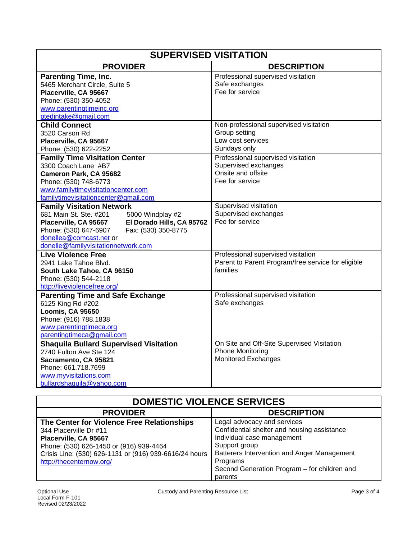| <b>SUPERVISED VISITATION</b>                                                                                                                                                                                                                           |                                                                                                      |  |
|--------------------------------------------------------------------------------------------------------------------------------------------------------------------------------------------------------------------------------------------------------|------------------------------------------------------------------------------------------------------|--|
| <b>PROVIDER</b>                                                                                                                                                                                                                                        | <b>DESCRIPTION</b>                                                                                   |  |
| <b>Parenting Time, Inc.</b><br>5465 Merchant Circle, Suite 5<br>Placerville, CA 95667<br>Phone: (530) 350-4052<br>www.parentingtimeinc.org                                                                                                             | Professional supervised visitation<br>Safe exchanges<br>Fee for service                              |  |
| ptedintake@gmail.com                                                                                                                                                                                                                                   |                                                                                                      |  |
| <b>Child Connect</b><br>3520 Carson Rd<br>Placerville, CA 95667<br>Phone: (530) 622-2252                                                                                                                                                               | Non-professional supervised visitation<br>Group setting<br>Low cost services<br>Sundays only         |  |
| <b>Family Time Visitation Center</b><br>3300 Coach Lane #B7<br>Cameron Park, CA 95682<br>Phone: (530) 748-6773<br>www.familytimevisitationcenter.com<br>familytimevisitationcenter@gmail.com                                                           | Professional supervised visitation<br>Supervised exchanges<br>Onsite and offsite<br>Fee for service  |  |
| <b>Family Visitation Network</b><br>681 Main St. Ste. #201<br>5000 Windplay #2<br>Placerville, CA 95667<br>El Dorado Hills, CA 95762<br>Fax: (530) 350-8775<br>Phone: (530) 647-6907<br>donellea@comcast.net or<br>donelle@familyvisitationnetwork.com | Supervised visitation<br>Supervised exchanges<br>Fee for service                                     |  |
| <b>Live Violence Free</b><br>2941 Lake Tahoe Blvd.<br>South Lake Tahoe, CA 96150<br>Phone: (530) 544-2118<br>http://liveviolencefree.org/                                                                                                              | Professional supervised visitation<br>Parent to Parent Program/free service for eligible<br>families |  |
| <b>Parenting Time and Safe Exchange</b><br>6125 King Rd #202<br>Loomis, CA 95650<br>Phone: (916) 788.1838<br>www.parentingtimeca.org<br>parentingtimeca@gmail.com                                                                                      | Professional supervised visitation<br>Safe exchanges                                                 |  |
| <b>Shaquila Bullard Supervised Visitation</b><br>2740 Fulton Ave Ste 124<br>Sacramento, CA 95821<br>Phone: 661.718.7699<br>www.myvisitations.com<br>bullardshaquila@yahoo.com                                                                          | On Site and Off-Site Supervised Visitation<br><b>Phone Monitoring</b><br><b>Monitored Exchanges</b>  |  |

| <b>DOMESTIC VIOLENCE SERVICES</b>                      |                                              |  |
|--------------------------------------------------------|----------------------------------------------|--|
| <b>PROVIDER</b>                                        | <b>DESCRIPTION</b>                           |  |
| The Center for Violence Free Relationships             | Legal advocacy and services                  |  |
| 344 Placerville Dr #11                                 | Confidential shelter and housing assistance  |  |
| Placerville, CA 95667                                  | Individual case management                   |  |
| Phone: (530) 626-1450 or (916) 939-4464                | Support group                                |  |
| Crisis Line: (530) 626-1131 or (916) 939-6616/24 hours | Batterers Intervention and Anger Management  |  |
| http://thecenternow.org/                               | Programs                                     |  |
|                                                        | Second Generation Program - for children and |  |
|                                                        | parents                                      |  |